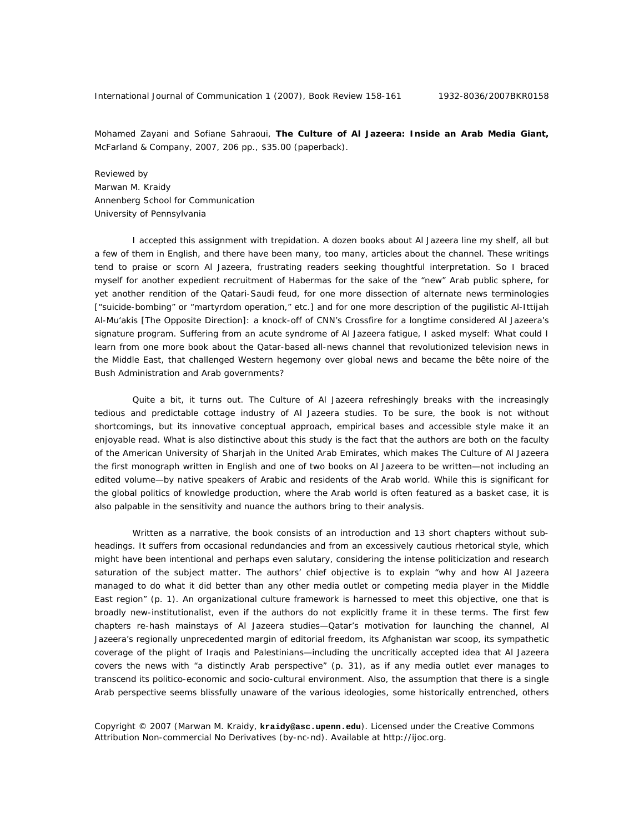Mohamed Zayani and Sofiane Sahraoui, **The Culture of Al Jazeera: Inside an Arab Media Giant,**  McFarland & Company, 2007, 206 pp., \$35.00 (paperback).

Reviewed by Marwan M. Kraidy Annenberg School for Communication University of Pennsylvania

I accepted this assignment with trepidation. A dozen books about Al Jazeera line my shelf, all but a few of them in English, and there have been many, too many, articles about the channel. These writings tend to praise or scorn Al Jazeera, frustrating readers seeking thoughtful interpretation. So I braced myself for another expedient recruitment of Habermas for the sake of the "new" Arab public sphere, for yet another rendition of the Qatari-Saudi feud, for one more dissection of alternate news terminologies ["suicide-bombing" or "martyrdom operation," etc.] and for one more description of the pugilistic *Al-Ittijah Al-Mu'akis* [The Opposite Direction]: a knock-off of CNN's *Crossfire* for a longtime considered Al Jazeera's signature program. Suffering from an acute syndrome of Al Jazeera fatigue, I asked myself: What could I learn from one more book about the Qatar-based all-news channel that revolutionized television news in the Middle East, that challenged Western hegemony over global news and became the *bête noire* of the Bush Administration and Arab governments?

Quite a bit, it turns out. *The Culture of Al Jazeera* refreshingly breaks with the increasingly tedious and predictable cottage industry of Al Jazeera studies. To be sure, the book is not without shortcomings, but its innovative conceptual approach, empirical bases and accessible style make it an enjoyable read. What is also distinctive about this study is the fact that the authors are both on the faculty of the American University of Sharjah in the United Arab Emirates, which makes *The Culture of Al Jazeera* the first monograph written in English and one of two books on Al Jazeera to be written—not including an edited volume—by native speakers of Arabic and residents of the Arab world. While this is significant for the global politics of knowledge production, where the Arab world is often featured as a basket case, it is also palpable in the sensitivity and nuance the authors bring to their analysis.

Written as a narrative, the book consists of an introduction and 13 short chapters without subheadings. It suffers from occasional redundancies and from an excessively cautious rhetorical style, which might have been intentional and perhaps even salutary, considering the intense politicization and research saturation of the subject matter. The authors' chief objective is to explain "why and how Al Jazeera managed to do what it did better than any other media outlet or competing media player in the Middle East region" (p. 1). An organizational culture framework is harnessed to meet this objective, one that is broadly new-institutionalist, even if the authors do not explicitly frame it in these terms. The first few chapters re-hash mainstays of Al Jazeera studies—Qatar's motivation for launching the channel, Al Jazeera's regionally unprecedented margin of editorial freedom, its Afghanistan war scoop, its sympathetic coverage of the plight of Iraqis and Palestinians—including the uncritically accepted idea that Al Jazeera covers the news with "a distinctly Arab perspective" (p. 31), as if any media outlet ever manages to transcend its politico-economic and socio-cultural environment. Also, the assumption that there is a single Arab perspective seems blissfully unaware of the various ideologies, some historically entrenched, others

Copyright © 2007 (Marwan M. Kraidy, **kraidy@asc.upenn.edu**). Licensed under the Creative Commons Attribution Non-commercial No Derivatives (by-nc-nd). Available at http://ijoc.org.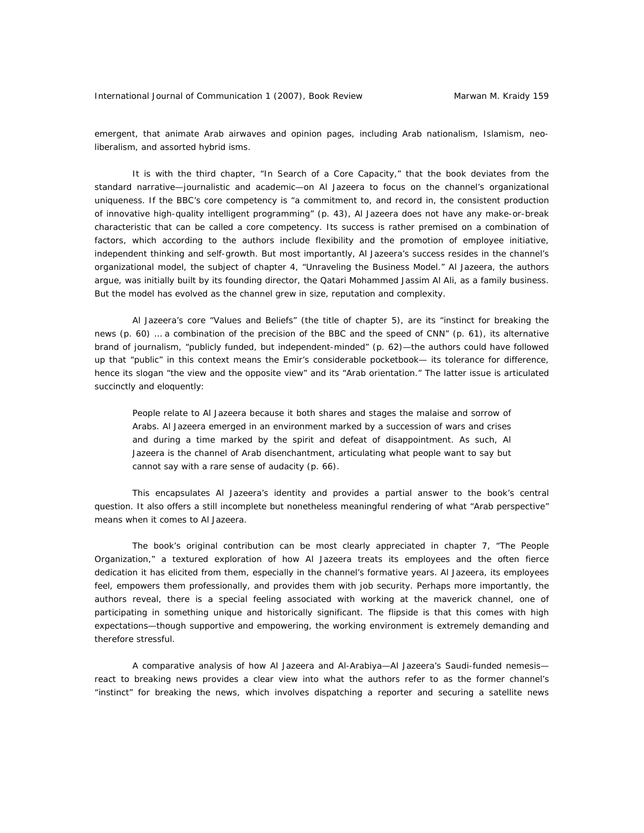emergent, that animate Arab airwaves and opinion pages, including Arab nationalism, Islamism, neoliberalism, and assorted hybrid isms.

It is with the third chapter, "In Search of a Core Capacity," that the book deviates from the standard narrative—journalistic and academic—on Al Jazeera to focus on the channel's organizational uniqueness. If the BBC's core competency is "a commitment to, and record in, the consistent production of innovative high-quality intelligent programming" (p. 43), Al Jazeera does not have any make-or-break characteristic that can be called a core competency. Its success is rather premised on a combination of factors, which according to the authors include flexibility and the promotion of employee initiative, independent thinking and self-growth. But most importantly, Al Jazeera's success resides in the channel's organizational model, the subject of chapter 4, "Unraveling the Business Model." Al Jazeera, the authors argue, was initially built by its founding director, the Qatari Mohammed Jassim Al Ali, as a family business. But the model has evolved as the channel grew in size, reputation and complexity.

Al Jazeera's core "Values and Beliefs" (the title of chapter 5), are its "instinct for breaking the news (p. 60) … a combination of the precision of the BBC and the speed of CNN" (p. 61), its alternative brand of journalism, "publicly funded, but independent-minded" (p. 62)—the authors could have followed up that "public" in this context means the Emir's considerable pocketbook— its tolerance for difference, hence its slogan "the view and the opposite view" and its "Arab orientation." The latter issue is articulated succinctly and eloquently:

People relate to Al Jazeera because it both shares and stages the malaise and sorrow of Arabs. Al Jazeera emerged in an environment marked by a succession of wars and crises and during a time marked by the spirit and defeat of disappointment. As such, Al Jazeera is the channel of Arab disenchantment, articulating what people want to say but cannot say with a rare sense of audacity (p. 66).

This encapsulates Al Jazeera's identity and provides a partial answer to the book's central question. It also offers a still incomplete but nonetheless meaningful rendering of what "Arab perspective" means when it comes to Al Jazeera.

The book's original contribution can be most clearly appreciated in chapter 7, "The People Organization," a textured exploration of how Al Jazeera treats its employees and the often fierce dedication it has elicited from them, especially in the channel's formative years. Al Jazeera, its employees feel, empowers them professionally, and provides them with job security. Perhaps more importantly, the authors reveal, there is a special feeling associated with working at the maverick channel, one of participating in something unique and historically significant. The flipside is that this comes with high expectations—though supportive and empowering, the working environment is extremely demanding and therefore stressful.

A comparative analysis of how Al Jazeera and Al-Arabiya—Al Jazeera's Saudi-funded nemesis react to breaking news provides a clear view into what the authors refer to as the former channel's "instinct" for breaking the news, which involves dispatching a reporter and securing a satellite news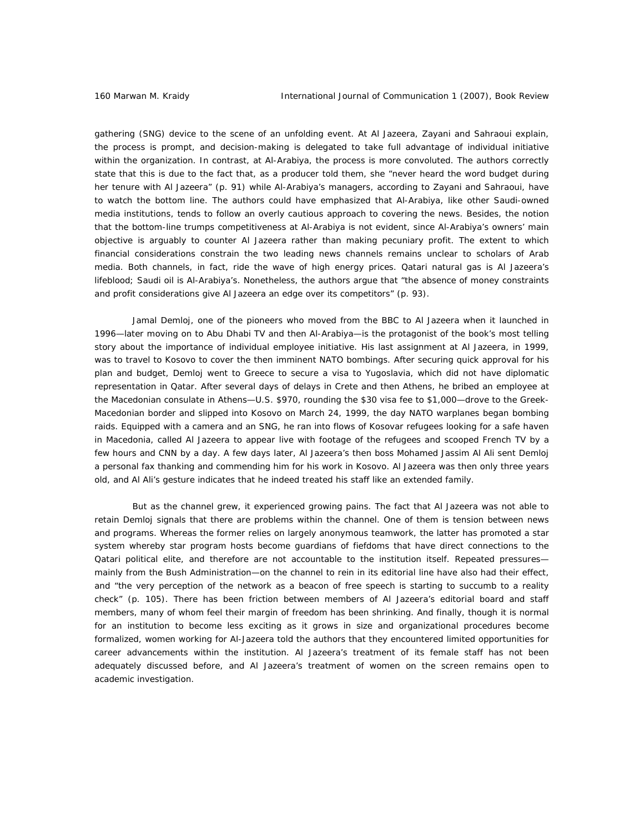gathering (SNG) device to the scene of an unfolding event. At Al Jazeera, Zayani and Sahraoui explain, the process is prompt, and decision-making is delegated to take full advantage of individual initiative within the organization. In contrast, at Al-Arabiya, the process is more convoluted. The authors correctly state that this is due to the fact that, as a producer told them, she "never heard the word budget during her tenure with Al Jazeera" (p. 91) while Al-Arabiya's managers, according to Zayani and Sahraoui, have to watch the bottom line. The authors could have emphasized that Al-Arabiya, like other Saudi-owned media institutions, tends to follow an overly cautious approach to covering the news. Besides, the notion that the bottom-line trumps competitiveness at Al-Arabiya is not evident, since Al-Arabiya's owners' main objective is arguably to counter Al Jazeera rather than making pecuniary profit. The extent to which financial considerations constrain the two leading news channels remains unclear to scholars of Arab media. Both channels, in fact, ride the wave of high energy prices. Qatari natural gas is Al Jazeera's lifeblood; Saudi oil is Al-Arabiya's. Nonetheless, the authors argue that "the absence of money constraints and profit considerations give Al Jazeera an edge over its competitors" (p. 93).

Jamal Demloj, one of the pioneers who moved from the BBC to Al Jazeera when it launched in 1996—later moving on to Abu Dhabi TV and then Al-Arabiya—is the protagonist of the book's most telling story about the importance of individual employee initiative. His last assignment at Al Jazeera, in 1999, was to travel to Kosovo to cover the then imminent NATO bombings. After securing quick approval for his plan and budget, Demloj went to Greece to secure a visa to Yugoslavia, which did not have diplomatic representation in Qatar. After several days of delays in Crete and then Athens, he bribed an employee at the Macedonian consulate in Athens—U.S. \$970, rounding the \$30 visa fee to \$1,000—drove to the Greek-Macedonian border and slipped into Kosovo on March 24, 1999, the day NATO warplanes began bombing raids. Equipped with a camera and an SNG, he ran into flows of Kosovar refugees looking for a safe haven in Macedonia, called Al Jazeera to appear live with footage of the refugees and scooped French TV by a few hours and CNN by a day. A few days later, Al Jazeera's then boss Mohamed Jassim Al Ali sent Demloj a personal fax thanking and commending him for his work in Kosovo. Al Jazeera was then only three years old, and Al Ali's gesture indicates that he indeed treated his staff like an extended family.

But as the channel grew, it experienced growing pains. The fact that Al Jazeera was not able to retain Demloj signals that there are problems within the channel. One of them is tension between news and programs. Whereas the former relies on largely anonymous teamwork, the latter has promoted a star system whereby star program hosts become guardians of fiefdoms that have direct connections to the Qatari political elite, and therefore are not accountable to the institution itself. Repeated pressures mainly from the Bush Administration—on the channel to rein in its editorial line have also had their effect, and "the very perception of the network as a beacon of free speech is starting to succumb to a reality check" (p. 105). There has been friction between members of Al Jazeera's editorial board and staff members, many of whom feel their margin of freedom has been shrinking. And finally, though it is normal for an institution to become less exciting as it grows in size and organizational procedures become formalized, women working for Al-Jazeera told the authors that they encountered limited opportunities for career advancements within the institution. Al Jazeera's treatment of its female staff has not been adequately discussed before, and Al Jazeera's treatment of women on the screen remains open to academic investigation.